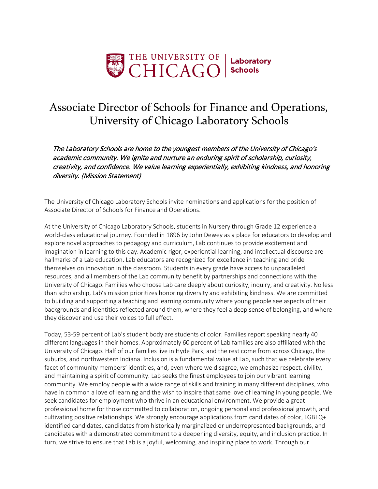

## Associate Director of Schools for Finance and Operations, University of Chicago Laboratory Schools

The Laboratory Schools are home to the youngest members of the University of Chicago's academic community. We ignite and nurture an enduring spirit of scholarship, curiosity, creativity, and confidence. We value learning experientially, exhibiting kindness, and honoring diversity. (Mission Statement)

The University of Chicago Laboratory Schools invite nominations and applications for the position of Associate Director of Schools for Finance and Operations.

At the University of Chicago Laboratory Schools, students in Nursery through Grade 12 experience a world-class educational journey. Founded in 1896 by John Dewey as a place for educators to develop and explore novel approaches to pedagogy and curriculum, Lab continues to provide excitement and imagination in learning to this day. Academic rigor, experiential learning, and intellectual discourse are hallmarks of a Lab education. Lab educators are recognized for excellence in teaching and pride themselves on innovation in the classroom. Students in every grade have access to unparalleled resources, and all members of the Lab community benefit by partnerships and connections with the University of Chicago. Families who choose Lab care deeply about curiosity, inquiry, and creativity. No less than scholarship, Lab's mission prioritizes honoring diversity and exhibiting kindness. We are committed to building and supporting a teaching and learning community where young people see aspects of their backgrounds and identities reflected around them, where they feel a deep sense of belonging, and where they discover and use their voices to full effect.

Today, 53-59 percent of Lab's student body are students of color. Families report speaking nearly 40 different languages in their homes. Approximately 60 percent of Lab families are also affiliated with the University of Chicago. Half of our families live in Hyde Park, and the rest come from across Chicago, the suburbs, and northwestern Indiana. Inclusion is a fundamental value at Lab, such that we celebrate every facet of community members' identities, and, even where we disagree, we emphasize respect, civility, and maintaining a spirit of community. Lab seeks the finest employees to join our vibrant learning community. We employ people with a wide range of skills and training in many different disciplines, who have in common a love of learning and the wish to inspire that same love of learning in young people. We seek candidates for employment who thrive in an educational environment. We provide a great professional home for those committed to collaboration, ongoing personal and professional growth, and cultivating positive relationships. We strongly encourage applications from candidates of color, LGBTQ+ identified candidates, candidates from historically marginalized or underrepresented backgrounds, and candidates with a demonstrated commitment to a deepening diversity, equity, and inclusion practice. In turn, we strive to ensure that Lab is a joyful, welcoming, and inspiring place to work. Through our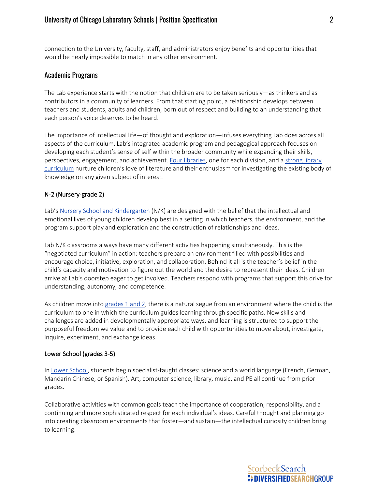connection to the University, faculty, staff, and administrators enjoy benefits and opportunities that would be nearly impossible to match in any other environment.

## Academic Programs

The Lab experience starts with the notion that children are to be taken seriously—as thinkers and as contributors in a community of learners. From that starting point, a relationship develops between teachers and students, adults and children, born out of respect and building to an understanding that each person's voice deserves to be heard.

The importance of intellectual life—of thought and exploration—infuses everything Lab does across all aspects of the curriculum. Lab's integrated academic program and pedagogical approach focuses on developing each student's sense of self within the broader community while expanding their skills, perspectives, engagement, and achievement. [Four libraries,](https://www.ucls.uchicago.edu/program/libraries) one for each division, and a strong library [curriculum](https://www.ucls.uchicago.edu/program/libraries/librarycurriculum) nurture children's love of literature and their enthusiasm for investigating the existing body of knowledge on any given subject of interest.

## N-2 (Nursery-grade 2)

Lab's [Nursery School and Kindergarten](https://www.ucls.uchicago.edu/program/nursery-school-kindergarten) (N/K) are designed with the belief that the intellectual and emotional lives of young children develop best in a setting in which teachers, the environment, and the program support play and exploration and the construction of relationships and ideas.

Lab N/K classrooms always have many different activities happening simultaneously. This is the "negotiated curriculum" in action: teachers prepare an environment filled with possibilities and encourage choice, initiative, exploration, and collaboration. Behind it all is the teacher's belief in the child's capacity and motivation to figure out the world and the desire to represent their ideas. Children arrive at Lab's doorstep eager to get involved. Teachers respond with programs that support this drive for understanding, autonomy, and competence.

As children move into [grades 1 and 2,](https://www.ucls.uchicago.edu/program/primary-school) there is a natural segue from an environment where the child is the curriculum to one in which the curriculum guides learning through specific paths. New skills and challenges are added in developmentally appropriate ways, and learning is structured to support the purposeful freedom we value and to provide each child with opportunities to move about, investigate, inquire, experiment, and exchange ideas.

#### Lower School (grades 3-5)

In [Lower School,](https://www.ucls.uchicago.edu/program/lower-school) students begin specialist-taught classes: science and a world language (French, German, Mandarin Chinese, or Spanish). Art, computer science, library, music, and PE all continue from prior grades.

Collaborative activities with common goals teach the importance of cooperation, responsibility, and a continuing and more sophisticated respect for each individual's ideas. Careful thought and planning go into creating classroom environments that foster—and sustain—the intellectual curiosity children bring to learning.

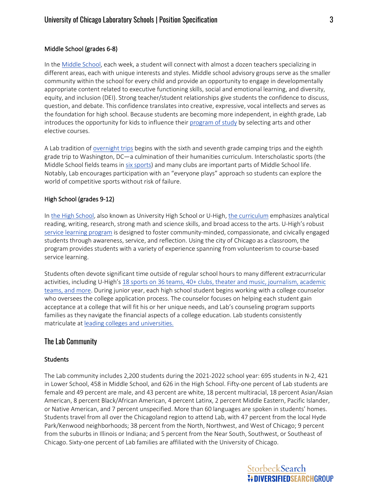## Middle School (grades 6-8)

In the [Middle School,](https://www.ucls.uchicago.edu/program/middle-school) each week, a student will connect with almost a dozen teachers specializing in different areas, each with unique interests and styles. Middle school advisory groups serve as the smaller community within the school for every child and provide an opportunity to engage in developmentally appropriate content related to executive functioning skills, social and emotional learning, and diversity, equity, and inclusion (DEI). Strong teacher/student relationships give students the confidence to discuss, question, and debate. This confidence translates into creative, expressive, vocal intellects and serves as the foundation for high school. Because students are becoming more independent, in eighth grade, Lab introduces the opportunity for kids to influence thei[r program of study](https://www.ucls.uchicago.edu/uploaded/middleschool/MS_2015_Program_of_Studies_1.pdf) by selecting arts and other elective courses.

A Lab tradition of [overnight trips](https://www.ucls.uchicago.edu/program/middle-school/class-trips) begins with the sixth and seventh grade camping trips and the eighth grade trip to Washington, DC—a culmination of their humanities curriculum. Interscholastic sports (the Middle School fields teams i[n six sports\)](https://www.ucls.uchicago.edu/athletics/teams-schedules) and many clubs are important parts of Middle School life. Notably, Lab encourages participation with an "everyone plays" approach so students can explore the world of competitive sports without risk of failure.

## High School (grades 9-12)

In [the High School,](https://www.ucls.uchicago.edu/program/high-school) also known as University High School or U-High, [the curriculum](https://www.ucls.uchicago.edu/uploaded/highschool/20JAN17_HS_Program_of_Studies_2020-21.pdf) emphasizes analytical reading, writing, research, strong math and science skills, and broad access to the arts. U-High's robust [service learning program](https://www.ucls.uchicago.edu/program/service-learning) is designed to foster community-minded, compassionate, and civically engaged students through awareness, service, and reflection. Using the city of Chicago as a classroom, the program provides students with a variety of experience spanning from volunteerism to course-based service learning.

Students often devote significant time outside of regular school hours to many different extracurricular activities, including U-High'[s 18 sports](https://www.ucls.uchicago.edu/program/high-school/clubs) on 36 [teams, 40+ clubs, theater and music, journalism, academic](https://www.ucls.uchicago.edu/program/high-school/clubs)  [teams, and more.](https://www.ucls.uchicago.edu/program/high-school/clubs) During junior year, each high school student begins working with a college counselor who oversees the college application process. The counselor focuses on helping each student gain acceptance at a college that will fit his or her unique needs, and Lab's counseling program supports families as they navigate the financial aspects of a college education. Lab students consistently matriculate a[t leading colleges and universities.](https://www.ucls.uchicago.edu/program/high-school/where-u-high-graduates-go)

## The Lab Community

## **Students**

The Lab community includes 2,200 students during the 2021-2022 school year: 695 students in N-2, 421 in Lower School, 458 in Middle School, and 626 in the High School. Fifty-one percent of Lab students are female and 49 percent are male, and 43 percent are white, 18 percent multiracial, 18 percent Asian/Asian American, 8 percent Black/African American, 4 percent Latinx, 2 percent Middle Eastern, Pacific Islander, or Native American, and 7 percent unspecified. More than 60 languages are spoken in students' homes. Students travel from all over the Chicagoland region to attend Lab, with 47 percent from the local Hyde Park/Kenwood neighborhoods; 38 percent from the North, Northwest, and West of Chicago; 9 percent from the suburbs in Illinois or Indiana; and 5 percent from the Near South, Southwest, or Southeast of Chicago. Sixty-one percent of Lab families are affiliated with the University of Chicago.

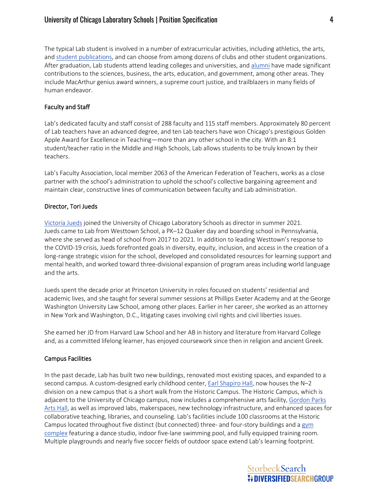The typical Lab student is involved in a number of extracurricular activities, including athletics, the arts, and [student publications,](https://www.ucls.uchicago.edu/about-lab/publication-and-communications) and can choose from among dozens of clubs and other student organizations. After graduation, Lab students attend leading colleges and universities, and [alumni](https://www.ucls.uchicago.edu/about-lab/alumni-of-note) have made significant contributions to the sciences, business, the arts, education, and government, among other areas. They include MacArthur genius award winners, a supreme court justice, and trailblazers in many fields of human endeavor.

## Faculty and Staff

Lab's dedicated faculty and staff consist of 288 faculty and 115 staff members. Approximately 80 percent of Lab teachers have an advanced degree, and ten Lab teachers have won Chicago's prestigious Golden Apple Award for Excellence in Teaching—more than any other school in the city. With an 8:1 student/teacher ratio in the Middle and High Schools, Lab allows students to be truly known by their teachers.

Lab's Faculty Association, local member 2063 of the American Federation of Teachers, works as a close partner with the school's administration to uphold the school's collective bargaining agreement and maintain clear, constructive lines of communication between faculty and Lab administration.

## Director, Tori Jueds

[Victoria Jueds](https://www.ucls.uchicago.edu/about-lab/from-the-director) joined the University of Chicago Laboratory Schools as director in summer 2021. Jueds came to Lab from Westtown School, a PK–12 Quaker day and boarding school in Pennsylvania, where she served as head of school from 2017 to 2021. In addition to leading Westtown's response to the COVID-19 crisis, Jueds forefronted goals in diversity, equity, inclusion, and access in the creation of a long-range strategic vision for the school, developed and consolidated resources for learning support and mental health, and worked toward three-divisional expansion of program areas including world language and the arts.

Jueds spent the decade prior at Princeton University in roles focused on students' residential and academic lives, and she taught for several summer sessions at Phillips Exeter Academy and at the George Washington University Law School, among other places. Earlier in her career, she worked as an attorney in New York and Washington, D.C., litigating cases involving civil rights and civil liberties issues.

She earned her JD from Harvard Law School and her AB in history and literature from Harvard College and, as a committed lifelong learner, has enjoyed coursework since then in religion and ancient Greek.

## Campus Facilities

In the past decade, Lab has built two new buildings, renovated most existing spaces, and expanded to a second campus. A custom-designed early childhood center, **Earl Shapiro Hall**, now houses the N-2 division on a new campus that is a short walk from the Historic Campus. The Historic Campus, which is adjacent to the University of Chicago campus, now includes a comprehensive arts facility, Gordon Parks [Arts Hall,](https://www.ucls.uchicago.edu/admissions/tour-our-school/tour-gordon-parks-arts-hall) as well as improved labs, makerspaces, new technology infrastructure, and enhanced spaces for collaborative teaching, libraries, and counseling. Lab's facilities include 100 classrooms at the Historic Campus located throughout five distinct (but connected) three- and four-story buildings and a  $gym$ [complex](https://www.ucls.uchicago.edu/admissions/tour-our-school/tour-sunny-kovler-gyms) featuring a dance studio, indoor five-lane swimming pool, and fully equipped training room. Multiple playgrounds and nearly five soccer fields of outdoor space extend Lab's learning footprint.

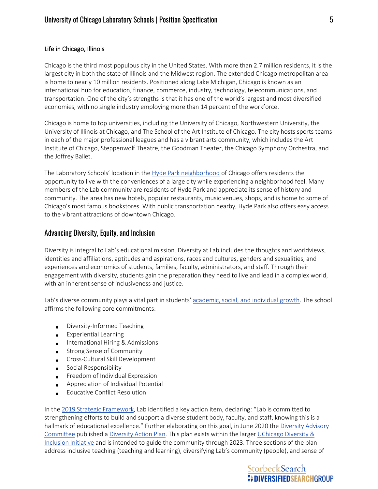## Life in Chicago, Illinois

Chicago is the third most populous city in the United States. With more than 2.7 million residents, it is the largest city in both the state of Illinois and the Midwest region. The extended Chicago metropolitan area is home to nearly 10 million residents. Positioned along Lake Michigan, Chicago is known as an international hub for education, finance, commerce, industry, technology, telecommunications, and transportation. One of the city's strengths is that it has one of the world's largest and most diversified economies, with no single industry employing more than 14 percent of the workforce.

Chicago is home to top universities, including the University of Chicago, Northwestern University, the University of Illinois at Chicago, and The School of the Art Institute of Chicago. The city hosts sports teams in each of the major professional leagues and has a vibrant arts community, which includes the Art Institute of Chicago, Steppenwolf Theatre, the Goodman Theater, the Chicago Symphony Orchestra, and the Joffrey Ballet.

The Laboratory Schools' location in the [Hyde Park neighborhood](https://www.choosechicago.com/neighborhoods/hyde-park/) of Chicago offers residents the opportunity to live with the conveniences of a large city while experiencing a neighborhood feel. Many members of the Lab community are residents of Hyde Park and appreciate its sense of history and community. The area has new hotels, popular restaurants, music venues, shops, and is home to some of Chicago's most famous bookstores. With public transportation nearby, Hyde Park also offers easy access to the vibrant attractions of downtown Chicago.

## Advancing Diversity, Equity, and Inclusion

Diversity is integral to Lab's educational mission. Diversity at Lab includes the thoughts and worldviews, identities and affiliations, aptitudes and aspirations, races and cultures, genders and sexualities, and experiences and economics of students, families, faculty, administrators, and staff. Through their engagement with diversity, students gain the preparation they need to live and lead in a complex world, with an inherent sense of inclusiveness and justice.

Lab's diverse community plays a vital part in students' [academic, social, and individual](https://www.ucls.uchicago.edu/about-lab/diversity-statement) growth. The school affirms the following core commitments:

- Diversity-Informed Teaching
- Experiential Learning
- International Hiring & Admissions
- Strong Sense of Community
- Cross-Cultural Skill Development
- Social Responsibility
- Freedom of Individual Expression
- Appreciation of Individual Potential
- Educative Conflict Resolution

In the [2019 Strategic Framework,](https://www.ucls.uchicago.edu/uploaded/uploaded/2019StrategicFramework-online.pdf) Lab identified a key action item, declaring: "Lab is committed to strengthening efforts to build and support a diverse student body, faculty, and staff, knowing this is a hallmark of educational excellence." Further elaborating on this goal, in June 2020 the [Diversity Advisory](https://www.ucls.uchicago.edu/about-lab/diversity-statement)  [Committee](https://www.ucls.uchicago.edu/about-lab/diversity-statement) published a [Diversity Action Plan.](https://www.ucls.uchicago.edu/uploaded/DEI/DiversityActionPlan_June2020.pdf) This plan exists within the larger [UChicago Diversity &](https://diversityandinclusion.uchicago.edu/)  [Inclusion Initiative](https://diversityandinclusion.uchicago.edu/) and is intended to guide the community through 2023. Three sections of the plan address inclusive teaching (teaching and learning), diversifying Lab's community (people), and sense of

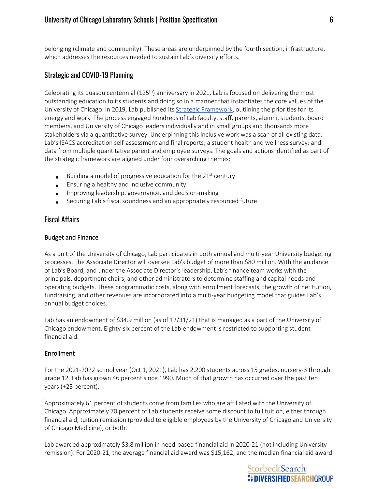belonging (climate and community). These areas are underpinned by the fourth section, infrastructure, which addresses the resources needed to sustain Lab's diversity efforts.

## Strategic and COVID-19 Planning

Celebrating its quasquicentennial  $(125<sup>th</sup>)$  anniversary in 2021, Lab is focused on delivering the most outstanding education to its students and doing so in a manner that instantiates the core values of the University of Chicago. In 2019, Lab published its Strategic [Framework,](https://www.ucls.uchicago.edu/uploaded/uploaded/2019StrategicFramework-online.pdf) outlining the priorities for its energy and work. The process engaged hundreds of Lab faculty, staff, parents, alumni, students, board members, and University of Chicago leaders individually and in small groups and thousands more stakeholders via a quantitative survey. Underpinning this inclusive work was a scan of all existing data: Lab's ISACS accreditation self-assessment and final reports; a student health and wellness survey; and data from multiple quantitative parent and employee surveys. The goals and actions identified as part of the strategic framework are aligned under four overarching themes:

- Building a model of progressive education for the  $21<sup>st</sup>$  century
- Ensuring a healthy and inclusive community
- Improving leadership, governance, and decision-making
- Securing Lab's fiscal soundness and an appropriately resourced future

## Fiscal Affairs

## Budget and Finance

As a unit of the University of Chicago, Lab participates in both annual and multi-year University budgeting processes. The Associate Director will oversee Lab's budget of more than \$80 million. With the guidance of Lab's Board, and under the Associate Director's leadership, Lab's finance team works with the principals, department chairs, and other administrators to determine staffing and capital needs and operating budgets. These programmatic costs, along with enrollment forecasts, the growth of net tuition, fundraising, and other revenues are incorporated into a multi-year budgeting model that guides Lab's annual budget choices.

Lab has an endowment of \$34.9 million (as of 12/31/21) that is managed as a part of the University of Chicago endowment. Eighty-six percent of the Lab endowment is restricted to supporting student financial aid.

## Enrollment

For the 2021-2022 school year (Oct 1, 2021), Lab has 2,200 students across 15 grades, nursery-3 through grade 12. Lab has grown 46 percent since 1990. Much of that growth has occurred over the past ten years (+23 percent).

Approximately 61 percent of students come from families who are affiliated with the University of Chicago. Approximately 70 percent of Lab students receive some discount to full tuition, either through financial aid, tuition remission (provided to eligible employees by the University of Chicago and University of Chicago Medicine), or both.

Lab awarded approximately \$3.8 million in need-based financial aid in 2020-21 (not including University remission). For 2020-21, the average financial aid award was \$15,162, and the median financial aid award

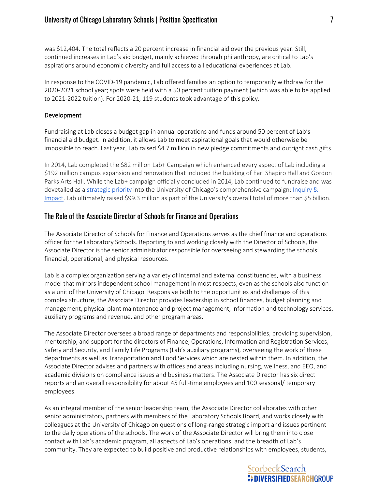was \$12,404. The total reflects a 20 percent increase in financial aid over the previous year. Still, continued increases in Lab's aid budget, mainly achieved through philanthropy, are critical to Lab's aspirations around economic diversity and full access to all educational experiences at Lab.

In response to the COVID-19 pandemic, Lab offered families an option to temporarily withdraw for the 2020-2021 school year; spots were held with a 50 percent tuition payment (which was able to be applied to 2021-2022 tuition). For 2020-21, 119 students took advantage of this policy.

## Development

Fundraising at Lab closes a budget gap in annual operations and funds around 50 percent of Lab's financial aid budget. In addition, it allows Lab to meet aspirational goals that would otherwise be impossible to reach. Last year, Lab raised \$4.7 million in new pledge commitments and outright cash gifts.

In 2014, Lab completed the \$82 million Lab+ Campaign which enhanced every aspect of Lab including a \$192 million campus expansion and renovation that included the building of Earl Shapiro Hall and Gordon Parks Arts Hall. While the Lab+ campaign officially concluded in 2014, Lab continued to fundraise and was dovetailed as a [strategic priority](https://campaign.uchicago.edu/priorities/laboratory-schools/) into the University of Chicago's comprehensive campaign: [Inquiry &](https://campaign.uchicago.edu/)  [Impact.](https://campaign.uchicago.edu/) Lab ultimately raised \$99.3 million as part of the University's overall total of more than \$5 billion.

## The Role of the Associate Director of Schools for Finance and Operations

The Associate Director of Schools for Finance and Operations serves as the chief finance and operations officer for the Laboratory Schools. Reporting to and working closely with the Director of Schools, the Associate Director is the senior administrator responsible for overseeing and stewarding the schools' financial, operational, and physical resources.

Lab is a complex organization serving a variety of internal and external constituencies, with a business model that mirrors independent school management in most respects, even as the schools also function as a unit of the University of Chicago. Responsive both to the opportunities and challenges of this complex structure, the Associate Director provides leadership in school finances, budget planning and management, physical plant maintenance and project management, information and technology services, auxiliary programs and revenue, and other program areas.

The Associate Director oversees a broad range of departments and responsibilities, providing supervision, mentorship, and support for the directors of Finance, Operations, Information and Registration Services, Safety and Security, and Family Life Programs (Lab's auxiliary programs), overseeing the work of these departments as well as Transportation and Food Services which are nested within them. In addition, the Associate Director advises and partners with offices and areas including nursing, wellness, and EEO, and academic divisions on compliance issues and business matters. The Associate Director has six direct reports and an overall responsibility for about 45 full-time employees and 100 seasonal/ temporary employees.

As an integral member of the senior leadership team, the Associate Director collaborates with other senior administrators, partners with members of the Laboratory Schools Board, and works closely with colleagues at the University of Chicago on questions of long-range strategic import and issues pertinent to the daily operations of the schools. The work of the Associate Director will bring them into close contact with Lab's academic program, all aspects of Lab's operations, and the breadth of Lab's community. They are expected to build positive and productive relationships with employees, students,

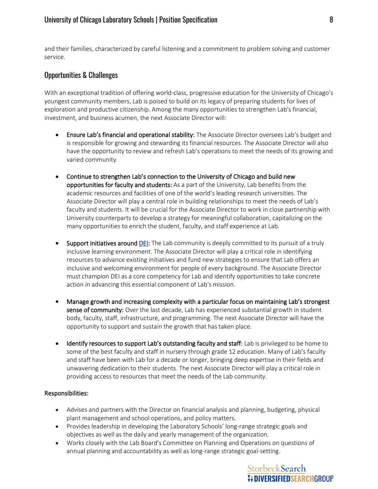and their families, characterized by careful listening and a commitment to problem solving and customer service.

## Opportunities & Challenges

With an exceptional tradition of offering world-class, progressive education for the University of Chicago's youngest community members, Lab is poised to build on its legacy of preparing students for lives of exploration and productive citizenship. Among the many opportunities to strengthen Lab's financial, investment, and business acumen, the next Associate Director will:

- Ensure Lab's financial and operational stability: The Associate Director oversees Lab's budget and is responsible for growing and stewarding its financial resources. The Associate Director will also have the opportunity to review and refresh Lab's operations to meet the needs of its growing and varied community.
- Continue to strengthen Lab's connection to the University of Chicago and build new opportunities for faculty and students: As a part of the University, Lab benefits from the academic resources and facilities of one of the world's leading research universities. The Associate Director will play a central role in building relationships to meet the needs of Lab's faculty and students. It will be crucial for the Associate Director to work in close partnership with University counterparts to develop a strategy for meaningful collaboration, capitalizing on the many opportunities to enrich the student, faculty, and staff experience at Lab.
- Support initiatives around **DEI:** The Lab community is deeply committed to its pursuit of a truly inclusive learning environment. The Associate Director will play a critical role in identifying resources to advance existing initiatives and fund new strategies to ensure that Lab offers an inclusive and welcoming environment for people of every background. The Associate Director must champion DEI as a core competency for Lab and identify opportunities to take concrete action in advancing this essential component of Lab's mission.
- Manage growth and increasing complexity with a particular focus on maintaining Lab's strongest sense of community: Over the last decade, Lab has experienced substantial growth in student body, faculty, staff, infrastructure, and programming. The next Associate Director will have the opportunity to support and sustain the growth that has taken place.
- Identify resources to support Lab's outstanding faculty and staff: Lab is privileged to be home to some of the best faculty and staff in nursery through grade 12 education. Many of Lab's faculty and staff have been with Lab for a decade or longer, bringing deep expertise in their fields and unwavering dedication to their students. The next Associate Director will play a critical role in providing access to resources that meet the needs of the Lab community.

## Responsibilities:

- Advises and partners with the Director on financial analysis and planning, budgeting, physical plant management and school operations, and policy matters.
- Provides leadership in developing the Laboratory Schools' long-range strategic goals and objectives as well as the daily and yearly management of the organization.
- Works closely with the Lab Board's Committee on Planning and Operations on questions of annual planning and accountability as well as long-range strategic goal-setting.

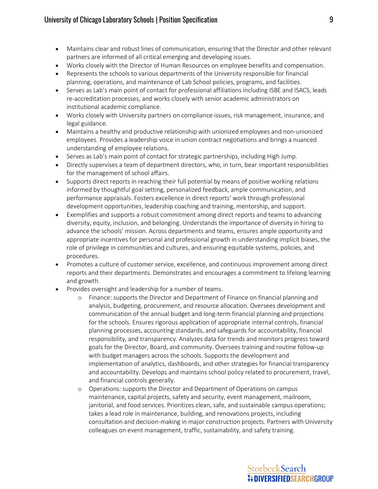- Maintains clear and robust lines of communication, ensuring that the Director and other relevant partners are informed of all critical emerging and developing issues.
- Works closely with the Director of Human Resources on employee benefits and compensation.
- Represents the schools to various departments of the University responsible for financial planning, operations, and maintenance of Lab School policies, programs, and facilities.
- Serves as Lab's main point of contact for professional affiliations including ISBE and ISACS, leads re-accreditation processes, and works closely with senior academic administrators on institutional academic compliance.
- Works closely with University partners on compliance issues, risk management, insurance, and legal guidance.
- Maintains a healthy and productive relationship with unionized employees and non-unionized employees. Provides a leadership voice in union contract negotiations and brings a nuanced understanding of employee relations.
- Serves as Lab's main point of contact for strategic partnerships, including High Jump.
- Directly supervises a team of department directors, who, in turn, bear important responsibilities for the management of school affairs.
- Supports direct reports in reaching their full potential by means of positive working relations informed by thoughtful goal setting, personalized feedback, ample communication, and performance appraisals. Fosters excellence in direct reports' work through professional development opportunities, leadership coaching and training, mentorship, and support.
- Exemplifies and supports a robust commitment among direct reports and teams to advancing diversity, equity, inclusion, and belonging. Understands the importance of diversity in hiring to advance the schools' mission. Across departments and teams, ensures ample opportunity and appropriate incentives for personal and professional growth in understanding implicit biases, the role of privilege in communities and cultures, and ensuring equitable systems, policies, and procedures.
- Promotes a culture of customer service, excellence, and continuous improvement among direct reports and their departments. Demonstrates and encourages a commitment to lifelong learning and growth.
- Provides oversight and leadership for a number of teams.
	- o Finance: supports the Director and Department of Finance on financial planning and analysis, budgeting, procurement, and resource allocation. Oversees development and communication of the annual budget and long-term financial planning and projections for the schools. Ensures rigorous application of appropriate internal controls, financial planning processes, accounting standards, and safeguards for accountability, financial responsibility, and transparency. Analyzes data for trends and monitors progress toward goals for the Director, Board, and community. Oversees training and routine follow-up with budget managers across the schools. Supports the development and implementation of analytics, dashboards, and other strategies for financial transparency and accountability. Develops and maintains school policy related to procurement, travel, and financial controls generally.
	- o Operations: supports the Director and Department of Operations on campus maintenance, capital projects, safety and security, event management, mailroom, janitorial, and food services. Prioritizes clean, safe, and sustainable campus operations; takes a lead role in maintenance, building, and renovations projects, including consultation and decision-making in major construction projects. Partners with University colleagues on event management, traffic, sustainability, and safety training.

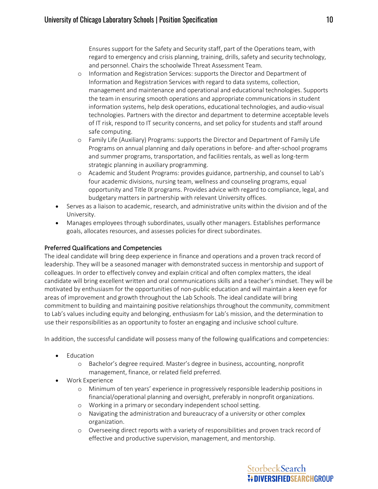Ensures support for the Safety and Security staff, part of the Operations team, with regard to emergency and crisis planning, training, drills, safety and security technology, and personnel. Chairs the schoolwide Threat Assessment Team.

- o Information and Registration Services: supports the Director and Department of Information and Registration Services with regard to data systems, collection, management and maintenance and operational and educational technologies. Supports the team in ensuring smooth operations and appropriate communications in student information systems, help desk operations, educational technologies, and audio-visual technologies. Partners with the director and department to determine acceptable levels of IT risk, respond to IT security concerns, and set policy for students and staff around safe computing.
- o Family Life (Auxiliary) Programs: supports the Director and Department of Family Life Programs on annual planning and daily operations in before- and after-school programs and summer programs, transportation, and facilities rentals, as well as long-term strategic planning in auxiliary programming.
- o Academic and Student Programs: provides guidance, partnership, and counsel to Lab's four academic divisions, nursing team, wellness and counseling programs, equal opportunity and Title IX programs. Provides advice with regard to compliance, legal, and budgetary matters in partnership with relevant University offices.
- Serves as a liaison to academic, research, and administrative units within the division and of the University.
- Manages employees through subordinates, usually other managers. Establishes performance goals, allocates resources, and assesses policies for direct subordinates.

## Preferred Qualifications and Competencies

The ideal candidate will bring deep experience in finance and operations and a proven track record of leadership. They will be a seasoned manager with demonstrated success in mentorship and support of colleagues. In order to effectively convey and explain critical and often complex matters, the ideal candidate will bring excellent written and oral communications skills and a teacher's mindset. They will be motivated by enthusiasm for the opportunities of non-public education and will maintain a keen eye for areas of improvement and growth throughout the Lab Schools. The ideal candidate will bring commitment to building and maintaining positive relationships throughout the community, commitment to Lab's values including equity and belonging, enthusiasm for Lab's mission, and the determination to use their responsibilities as an opportunity to foster an engaging and inclusive school culture.

In addition, the successful candidate will possess many of the following qualifications and competencies:

- Education
	- o Bachelor's degree required. Master's degree in business, accounting, nonprofit management, finance, or related field preferred.
- Work Experience
	- o Minimum of ten years' experience in progressively responsible leadership positions in financial/operational planning and oversight, preferably in nonprofit organizations.
	- o Working in a primary or secondary independent schoolsetting.
	- o Navigating the administration and bureaucracy of a university or other complex organization.
	- o Overseeing direct reports with a variety of responsibilities and proven track record of effective and productive supervision, management, and mentorship.

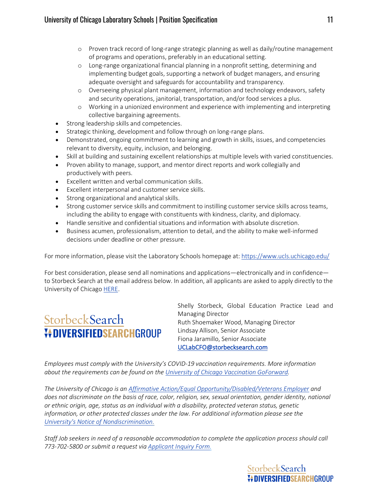- o Proven track record of long-range strategic planning as well as daily/routine management of programs and operations, preferably in an educational setting.
- o Long-range organizational financial planning in a nonprofit setting, determining and implementing budget goals, supporting a network of budget managers, and ensuring adequate oversight and safeguards for accountability and transparency.
- o Overseeing physical plant management, information and technology endeavors, safety and security operations, janitorial, transportation, and/or food services a plus.
- o Working in a unionized environment and experience with implementing and interpreting collective bargaining agreements.
- Strong leadership skills and competencies.
- Strategic thinking, development and follow through on long-range plans.
- Demonstrated, ongoing commitment to learning and growth in skills, issues, and competencies relevant to diversity, equity, inclusion, and belonging.
- Skill at building and sustaining excellent relationships at multiple levels with varied constituencies.
- Proven ability to manage, support, and mentor direct reports and work collegially and productively with peers.
- Excellent written and verbal communication skills.
- Excellent interpersonal and customer service skills.
- Strong organizational and analytical skills.
- Strong customer service skills and commitment to instilling customer service skills across teams, including the ability to engage with constituents with kindness, clarity, and diplomacy.
- Handle sensitive and confidential situations and information with absolute discretion.
- Business acumen, professionalism, attention to detail, and the ability to make well-informed decisions under deadline or other pressure.

For more information, please visit the Laboratory Schools homepage at:<https://www.ucls.uchicago.edu/>

For best consideration, please send all nominations and applications—electronically and in confidence to Storbeck Search at the email address below. In addition, all applicants are asked to apply directly to the University of Chicag[o HERE.](https://uchicago.wd5.myworkdayjobs.com/External/job/Hyde-Park-Campus/Laboratory-Schools--Associate-Director-of-Schools-for-Finance---Operations_JR16004)

# StorbeckSearch **VOIVERSIFIEDSEARCHGROUP**

Shelly Storbeck, Global Education Practice Lead and Managing Director Ruth Shoemaker Wood, Managing Director Lindsay Allison, Senior Associate Fiona Jaramillo, Senior Associate [UCLabCFO@storbecksearch.com](mailto:UCLabCFO@storbecksearch.com)

*Employees must comply with the University's COVID-19 vaccination requirements. More information about the requirements can be found on the [University of Chicago Vaccination GoForward.](https://goforward.uchicago.edu/covid-19-vaccination)*

*The University of Chicago is an [Affirmative](http://humanresources.uchicago.edu/fpg/policies/200/p201.shtml) Action/Equal [Opportunity/Disabled/Veterans](http://humanresources.uchicago.edu/fpg/policies/200/p201.shtml) Employer and does not discriminate on the basis of race, color, religion, sex, sexual orientation, gender identity, national or ethnic origin, age, status as an individual with a disability, protected veteran status, genetic information, or other protected classes under the law. For additional information please see the University's Notice of [Nondiscrimination.](http://www.uchicago.edu/about/non_discrimination_statement/)*

*Staff Job seekers in need of a reasonable accommodation to complete the application process should call 773-702-5800 or submit a request via [Applicant](http://uchicago.service-now.com/sso?id=ssc_sc_cat_item&sys_id=8ff79243dbe91c1029f52ad94b961946) Inquiry Form.*